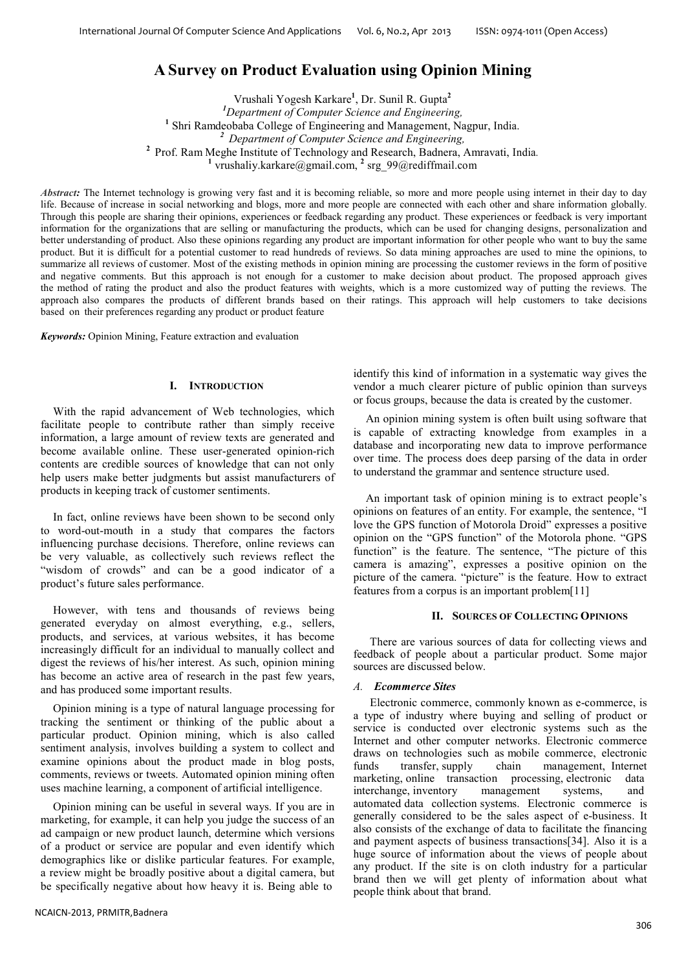# **A Survey on Product Evaluation using Opinion Mining**

Vrushali Yogesh Karkare**<sup>1</sup>** , Dr. Sunil R. Gupta**<sup>2</sup>** *Department of Computer Science and Engineering,* Shri Ramdeobaba College of Engineering and Management, Nagpur, India. *Department of Computer Science and Engineering,* Prof. Ram Meghe Institute of Technology and Research, Badnera, Amravati, India*.* <sup>1</sup> vrushaliy.karkare@gmail.com, <sup>2</sup> srg\_99@rediffmail.com

*Abstract:* The Internet technology is growing very fast and it is becoming reliable, so more and more people using internet in their day to day life. Because of increase in social networking and blogs, more and more people are connected with each other and share information globally. Through this people are sharing their opinions, experiences or feedback regarding any product. These experiences or feedback is very important information for the organizations that are selling or manufacturing the products, which can be used for changing designs, personalization and better understanding of product. Also these opinions regarding any product are important information for other people who want to buy the same product. But it is difficult for a potential customer to read hundreds of reviews. So data mining approaches are used to mine the opinions, to summarize all reviews of customer. Most of the existing methods in opinion mining are processing the customer reviews in the form of positive and negative comments. But this approach is not enough for a customer to make decision about product. The proposed approach gives the method of rating the product and also the product features with weights, which is a more customized way of putting the reviews. The approach also compares the products of different brands based on their ratings. This approach will help customers to take decisions based on their preferences regarding any product or product feature

*Keywords:* Opinion Mining, Feature extraction and evaluation

## **I. INTRODUCTION**

With the rapid advancement of Web technologies, which facilitate people to contribute rather than simply receive information, a large amount of review texts are generated and become available online. These user-generated opinion-rich contents are credible sources of knowledge that can not only help users make better judgments but assist manufacturers of products in keeping track of customer sentiments.

In fact, online reviews have been shown to be second only to word-out-mouth in a study that compares the factors influencing purchase decisions. Therefore, online reviews can be very valuable, as collectively such reviews reflect the "wisdom of crowds" and can be a good indicator of a product's future sales performance.

However, with tens and thousands of reviews being generated everyday on almost everything, e.g., sellers, products, and services, at various websites, it has become increasingly difficult for an individual to manually collect and digest the reviews of his/her interest. As such, opinion mining has become an active area of research in the past few years, and has produced some important results.

Opinion mining is a type of natural language processing for tracking the sentiment or thinking of the public about a particular product. Opinion mining, which is also called sentiment analysis, involves building a system to collect and examine opinions about the product made in blog posts, comments, reviews or tweets. Automated opinion mining often uses machine learning, a component of artificial intelligence.

Opinion mining can be useful in several ways. If you are in marketing, for example, it can help you judge the success of an ad campaign or new product launch, determine which versions of a product or service are popular and even identify which demographics like or dislike particular features. For example, a review might be broadly positive about a digital camera, but be specifically negative about how heavy it is. Being able to

identify this kind of information in a systematic way gives the vendor a much clearer picture of public opinion than surveys or focus groups, because the data is created by the customer.

An opinion mining system is often built using software that is capable of extracting knowledge from examples in a database and incorporating new data to improve performance over time. The process does deep parsing of the data in order to understand the grammar and sentence structure used.

An important task of opinion mining is to extract people's opinions on features of an entity. For example, the sentence, "I love the GPS function of Motorola Droid" expresses a positive opinion on the "GPS function" of the Motorola phone. "GPS function" is the feature. The sentence, "The picture of this camera is amazing", expresses a positive opinion on the picture of the camera. "picture" is the feature. How to extract features from a corpus is an important problem[11]

### **II. SOURCES OF COLLECTING OPINIONS**

There are various sources of data for collecting views and feedback of people about a particular product. Some major sources are discussed below.

## *A. Ecommerce Sites*

Electronic commerce, commonly known as e-commerce, is a type of industry where buying and selling of product or service is conducted over electronic systems such as the Internet and other computer networks. Electronic commerce draws on technologies such as mobile commerce, electronic funds transfer, supply chain management, Internet marketing, online transaction processing, electronic data interchange, inventory management systems, and automated data collection systems. Electronic commerce is generally considered to be the sales aspect of e-business. It also consists of the exchange of data to facilitate the financing and payment aspects of business transactions[34]. Also it is a huge source of information about the views of people about any product. If the site is on cloth industry for a particular brand then we will get plenty of information about what people think about that brand.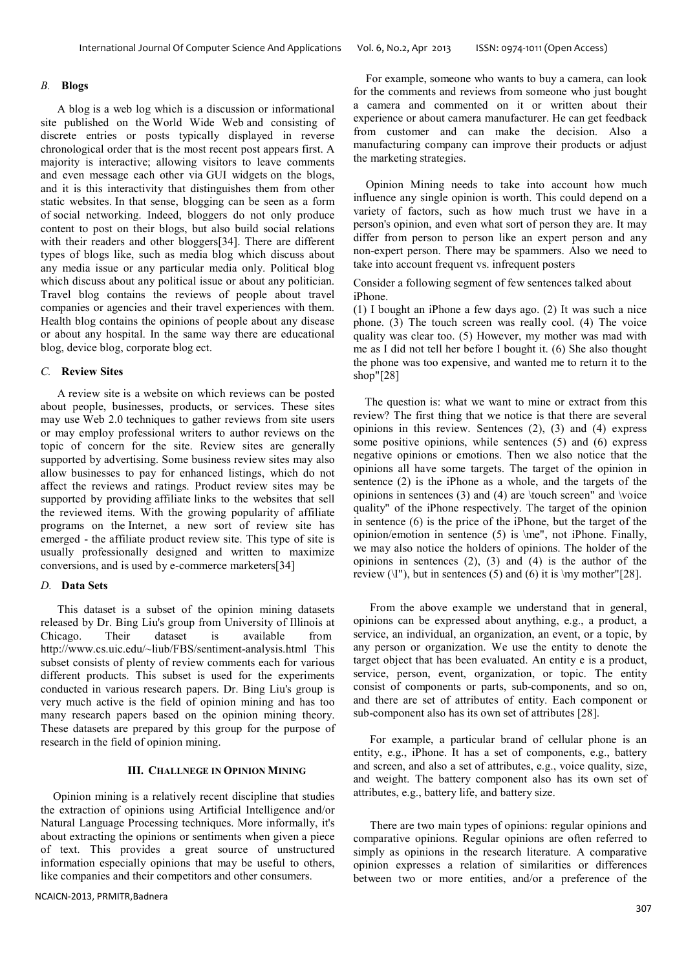#### *B.* **Blogs**

A blog is a web log which is a discussion or informational site published on the World Wide Web and consisting of discrete entries or posts typically displayed in reverse chronological order that is the most recent post appears first. A majority is interactive; allowing visitors to leave comments and even message each other via GUI widgets on the blogs, and it is this interactivity that distinguishes them from other static websites. In that sense, blogging can be seen as a form of social networking. Indeed, bloggers do not only produce content to post on their blogs, but also build social relations with their readers and other bloggers[34]. There are different types of blogs like, such as media blog which discuss about any media issue or any particular media only. Political blog which discuss about any political issue or about any politician. Travel blog contains the reviews of people about travel companies or agencies and their travel experiences with them. Health blog contains the opinions of people about any disease or about any hospital. In the same way there are educational blog, device blog, corporate blog ect.

#### *C.* **Review Sites**

A review site is a website on which reviews can be posted about people, businesses, products, or services. These sites may use Web 2.0 techniques to gather reviews from site users or may employ professional writers to author reviews on the topic of concern for the site. Review sites are generally supported by advertising. Some business review sites may also allow businesses to pay for enhanced listings, which do not affect the reviews and ratings. Product review sites may be supported by providing affiliate links to the websites that sell the reviewed items. With the growing popularity of affiliate programs on the Internet, a new sort of review site has emerged - the affiliate product review site. This type of site is usually professionally designed and written to maximize conversions, and is used by e-commerce marketers[34]

## *D.* **Data Sets**

This dataset is a subset of the opinion mining datasets released by Dr. Bing Liu's group from University of Illinois at<br>Chicago. Their dataset is available from Chicago. Their dataset is available from http://www.cs.uic.edu/~liub/FBS/sentiment-analysis.html This subset consists of plenty of review comments each for various different products. This subset is used for the experiments conducted in various research papers. Dr. Bing Liu's group is very much active is the field of opinion mining and has too many research papers based on the opinion mining theory. These datasets are prepared by this group for the purpose of research in the field of opinion mining.

## **III. CHALLNEGE IN OPINION MINING**

Opinion mining is a relatively recent discipline that studies the extraction of opinions using Artificial Intelligence and/or Natural Language Processing techniques. More informally, it's about extracting the opinions or sentiments when given a piece of text. This provides a great source of unstructured information especially opinions that may be useful to others, like companies and their competitors and other consumers.

NCAICN-2013, PRMITR,Badnera

For example, someone who wants to buy a camera, can look for the comments and reviews from someone who just bought a camera and commented on it or written about their experience or about camera manufacturer. He can get feedback from customer and can make the decision. Also a manufacturing company can improve their products or adjust the marketing strategies.

Opinion Mining needs to take into account how much influence any single opinion is worth. This could depend on a variety of factors, such as how much trust we have in a person's opinion, and even what sort of person they are. It may differ from person to person like an expert person and any non-expert person. There may be spammers. Also we need to take into account frequent vs. infrequent posters

Consider a following segment of few sentences talked about iPhone.

(1) I bought an iPhone a few days ago. (2) It was such a nice phone. (3) The touch screen was really cool. (4) The voice quality was clear too. (5) However, my mother was mad with me as I did not tell her before I bought it. (6) She also thought the phone was too expensive, and wanted me to return it to the shop"[28]

The question is: what we want to mine or extract from this review? The first thing that we notice is that there are several opinions in this review. Sentences (2), (3) and (4) express some positive opinions, while sentences (5) and (6) express negative opinions or emotions. Then we also notice that the opinions all have some targets. The target of the opinion in sentence (2) is the iPhone as a whole, and the targets of the opinions in sentences  $(3)$  and  $(4)$  are \touch screen" and \voice quality" of the iPhone respectively. The target of the opinion in sentence (6) is the price of the iPhone, but the target of the opinion/emotion in sentence (5) is \me", not iPhone. Finally, we may also notice the holders of opinions. The holder of the opinions in sentences  $(2)$ ,  $(3)$  and  $(4)$  is the author of the review  $(\I^{''})$ , but in sentences (5) and (6) it is  $\mu$  mother"[28].

From the above example we understand that in general, opinions can be expressed about anything, e.g., a product, a service, an individual, an organization, an event, or a topic, by any person or organization. We use the entity to denote the target object that has been evaluated. An entity e is a product, service, person, event, organization, or topic. The entity consist of components or parts, sub-components, and so on, and there are set of attributes of entity. Each component or sub-component also has its own set of attributes [28].

For example, a particular brand of cellular phone is an entity, e.g., iPhone. It has a set of components, e.g., battery and screen, and also a set of attributes, e.g., voice quality, size, and weight. The battery component also has its own set of attributes, e.g., battery life, and battery size.

There are two main types of opinions: regular opinions and comparative opinions. Regular opinions are often referred to simply as opinions in the research literature. A comparative opinion expresses a relation of similarities or differences between two or more entities, and/or a preference of the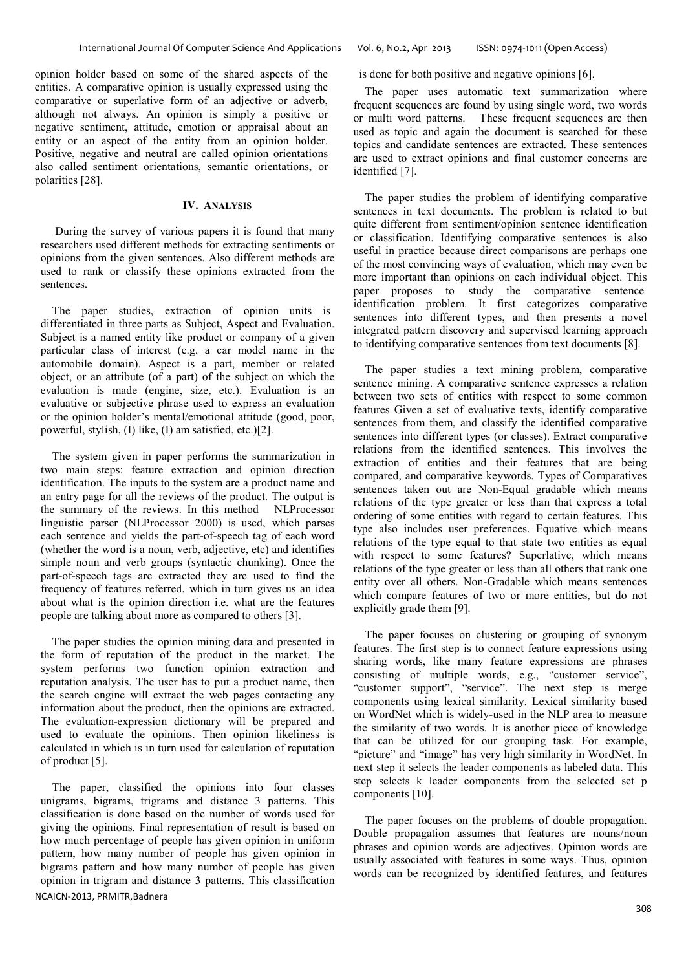opinion holder based on some of the shared aspects of the entities. A comparative opinion is usually expressed using the comparative or superlative form of an adjective or adverb, although not always. An opinion is simply a positive or negative sentiment, attitude, emotion or appraisal about an entity or an aspect of the entity from an opinion holder. Positive, negative and neutral are called opinion orientations also called sentiment orientations, semantic orientations, or polarities [28].

#### **IV. ANALYSIS**

During the survey of various papers it is found that many researchers used different methods for extracting sentiments or opinions from the given sentences. Also different methods are used to rank or classify these opinions extracted from the sentences.

The paper studies, extraction of opinion units is differentiated in three parts as Subject, Aspect and Evaluation. Subject is a named entity like product or company of a given particular class of interest (e.g. a car model name in the automobile domain). Aspect is a part, member or related object, or an attribute (of a part) of the subject on which the evaluation is made (engine, size, etc.). Evaluation is an evaluative or subjective phrase used to express an evaluation or the opinion holder's mental/emotional attitude (good, poor, powerful, stylish, (I) like, (I) am satisfied, etc.)[2].

The system given in paper performs the summarization in two main steps: feature extraction and opinion direction identification. The inputs to the system are a product name and an entry page for all the reviews of the product. The output is the summary of the reviews. In this method NLProcessor linguistic parser (NLProcessor 2000) is used, which parses each sentence and yields the part-of-speech tag of each word (whether the word is a noun, verb, adjective, etc) and identifies simple noun and verb groups (syntactic chunking). Once the part-of-speech tags are extracted they are used to find the frequency of features referred, which in turn gives us an idea about what is the opinion direction i.e. what are the features people are talking about more as compared to others [3].

The paper studies the opinion mining data and presented in the form of reputation of the product in the market. The system performs two function opinion extraction and reputation analysis. The user has to put a product name, then the search engine will extract the web pages contacting any information about the product, then the opinions are extracted. The evaluation-expression dictionary will be prepared and used to evaluate the opinions. Then opinion likeliness is calculated in which is in turn used for calculation of reputation of product [5].

NCAICN-2013, PRMITR,Badnera The paper, classified the opinions into four classes unigrams, bigrams, trigrams and distance 3 patterns. This classification is done based on the number of words used for giving the opinions. Final representation of result is based on how much percentage of people has given opinion in uniform pattern, how many number of people has given opinion in bigrams pattern and how many number of people has given opinion in trigram and distance 3 patterns. This classification

is done for both positive and negative opinions [6].

The paper uses automatic text summarization where frequent sequences are found by using single word, two words or multi word patterns. These frequent sequences are then used as topic and again the document is searched for these topics and candidate sentences are extracted. These sentences are used to extract opinions and final customer concerns are identified [7].

The paper studies the problem of identifying comparative sentences in text documents. The problem is related to but quite different from sentiment/opinion sentence identification or classification. Identifying comparative sentences is also useful in practice because direct comparisons are perhaps one of the most convincing ways of evaluation, which may even be more important than opinions on each individual object. This paper proposes to study the comparative sentence identification problem. It first categorizes comparative sentences into different types, and then presents a novel integrated pattern discovery and supervised learning approach to identifying comparative sentences from text documents [8].

The paper studies a text mining problem, comparative sentence mining. A comparative sentence expresses a relation between two sets of entities with respect to some common features Given a set of evaluative texts, identify comparative sentences from them, and classify the identified comparative sentences into different types (or classes). Extract comparative relations from the identified sentences. This involves the extraction of entities and their features that are being compared, and comparative keywords. Types of Comparatives sentences taken out are Non-Equal gradable which means relations of the type greater or less than that express a total ordering of some entities with regard to certain features. This type also includes user preferences. Equative which means relations of the type equal to that state two entities as equal with respect to some features? Superlative, which means relations of the type greater or less than all others that rank one entity over all others. Non-Gradable which means sentences which compare features of two or more entities, but do not explicitly grade them [9].

The paper focuses on clustering or grouping of synonym features. The first step is to connect feature expressions using sharing words, like many feature expressions are phrases consisting of multiple words, e.g., "customer service", "customer support", "service". The next step is merge components using lexical similarity. Lexical similarity based on WordNet which is widely-used in the NLP area to measure the similarity of two words. It is another piece of knowledge that can be utilized for our grouping task. For example, "picture" and "image" has very high similarity in WordNet. In next step it selects the leader components as labeled data. This step selects k leader components from the selected set p components [10].

The paper focuses on the problems of double propagation. Double propagation assumes that features are nouns/noun phrases and opinion words are adjectives. Opinion words are usually associated with features in some ways. Thus, opinion words can be recognized by identified features, and features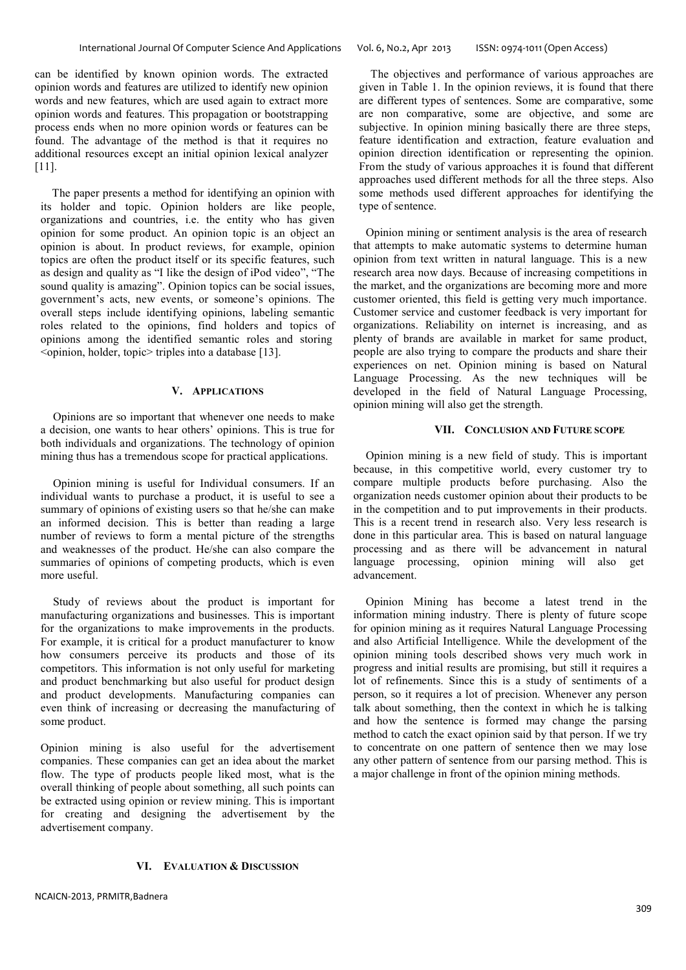can be identified by known opinion words. The extracted opinion words and features are utilized to identify new opinion words and new features, which are used again to extract more opinion words and features. This propagation or bootstrapping process ends when no more opinion words or features can be found. The advantage of the method is that it requires no additional resources except an initial opinion lexical analyzer [11].

The paper presents a method for identifying an opinion with its holder and topic. Opinion holders are like people, organizations and countries, i.e. the entity who has given opinion for some product. An opinion topic is an object an opinion is about. In product reviews, for example, opinion topics are often the product itself or its specific features, such as design and quality as "I like the design of iPod video", "The sound quality is amazing". Opinion topics can be social issues, government's acts, new events, or someone's opinions. The overall steps include identifying opinions, labeling semantic roles related to the opinions, find holders and topics of opinions among the identified semantic roles and storing  $\leq$ opinion, holder, topic $\geq$  triples into a database [13].

## **V. APPLICATIONS**

Opinions are so important that whenever one needs to make a decision, one wants to hear others' opinions. This is true for both individuals and organizations. The technology of opinion mining thus has a tremendous scope for practical applications.

Opinion mining is useful for Individual consumers. If an individual wants to purchase a product, it is useful to see a summary of opinions of existing users so that he/she can make an informed decision. This is better than reading a large number of reviews to form a mental picture of the strengths and weaknesses of the product. He/she can also compare the summaries of opinions of competing products, which is even more useful.

Study of reviews about the product is important for manufacturing organizations and businesses. This is important for the organizations to make improvements in the products. For example, it is critical for a product manufacturer to know how consumers perceive its products and those of its competitors. This information is not only useful for marketing and product benchmarking but also useful for product design and product developments. Manufacturing companies can even think of increasing or decreasing the manufacturing of some product.

Opinion mining is also useful for the advertisement companies. These companies can get an idea about the market flow. The type of products people liked most, what is the overall thinking of people about something, all such points can be extracted using opinion or review mining. This is important for creating and designing the advertisement by the advertisement company.

#### **VI. EVALUATION & DISCUSSION**

The objectives and performance of various approaches are given in Table 1. In the opinion reviews, it is found that there are different types of sentences. Some are comparative, some are non comparative, some are objective, and some are subjective. In opinion mining basically there are three steps, feature identification and extraction, feature evaluation and opinion direction identification or representing the opinion. From the study of various approaches it is found that different approaches used different methods for all the three steps. Also some methods used different approaches for identifying the type of sentence.

Opinion mining or sentiment analysis is the area of research that attempts to make automatic systems to determine human opinion from text written in natural language. This is a new research area now days. Because of increasing competitions in the market, and the organizations are becoming more and more customer oriented, this field is getting very much importance. Customer service and customer feedback is very important for organizations. Reliability on internet is increasing, and as plenty of brands are available in market for same product, people are also trying to compare the products and share their experiences on net. Opinion mining is based on Natural Language Processing. As the new techniques will be developed in the field of Natural Language Processing, opinion mining will also get the strength.

#### **VII. CONCLUSION AND FUTURE SCOPE**

Opinion mining is a new field of study. This is important because, in this competitive world, every customer try to compare multiple products before purchasing. Also the organization needs customer opinion about their products to be in the competition and to put improvements in their products. This is a recent trend in research also. Very less research is done in this particular area. This is based on natural language processing and as there will be advancement in natural language processing, opinion mining will also get advancement.

Opinion Mining has become a latest trend in the information mining industry. There is plenty of future scope for opinion mining as it requires Natural Language Processing and also Artificial Intelligence. While the development of the opinion mining tools described shows very much work in progress and initial results are promising, but still it requires a lot of refinements. Since this is a study of sentiments of a person, so it requires a lot of precision. Whenever any person talk about something, then the context in which he is talking and how the sentence is formed may change the parsing method to catch the exact opinion said by that person. If we try to concentrate on one pattern of sentence then we may lose any other pattern of sentence from our parsing method. This is a major challenge in front of the opinion mining methods.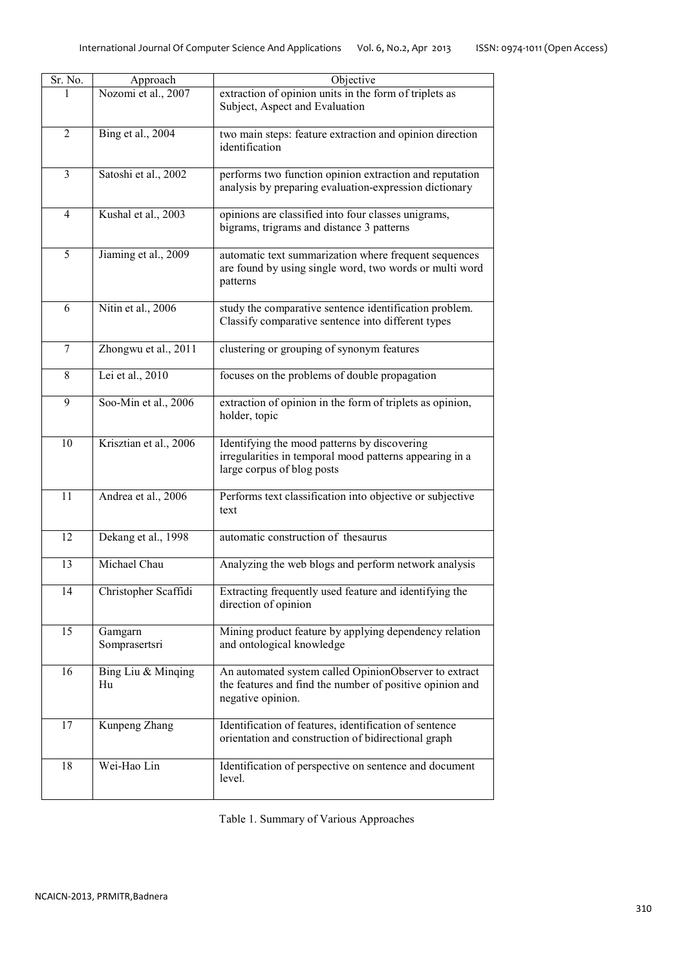|  | SN: 0974-1011 (Open Access) |
|--|-----------------------------|
|--|-----------------------------|

| Sr. No.        | Approach                 | Objective                                                                                                                              |
|----------------|--------------------------|----------------------------------------------------------------------------------------------------------------------------------------|
| 1              | Nozomi et al., 2007      | extraction of opinion units in the form of triplets as<br>Subject, Aspect and Evaluation                                               |
| $\overline{2}$ | Bing et al., 2004        | two main steps: feature extraction and opinion direction<br>identification                                                             |
| 3              | Satoshi et al., 2002     | performs two function opinion extraction and reputation<br>analysis by preparing evaluation-expression dictionary                      |
| $\overline{4}$ | Kushal et al., 2003      | opinions are classified into four classes unigrams,<br>bigrams, trigrams and distance 3 patterns                                       |
| 5              | Jiaming et al., 2009     | automatic text summarization where frequent sequences<br>are found by using single word, two words or multi word<br>patterns           |
| 6              | Nitin et al., 2006       | study the comparative sentence identification problem.<br>Classify comparative sentence into different types                           |
| 7              | Zhongwu et al., 2011     | clustering or grouping of synonym features                                                                                             |
| 8              | Lei et al., 2010         | focuses on the problems of double propagation                                                                                          |
| 9              | Soo-Min et al., 2006     | extraction of opinion in the form of triplets as opinion,<br>holder, topic                                                             |
| 10             | Krisztian et al., 2006   | Identifying the mood patterns by discovering<br>irregularities in temporal mood patterns appearing in a<br>large corpus of blog posts  |
| 11             | Andrea et al., 2006      | Performs text classification into objective or subjective<br>text                                                                      |
| 12             | Dekang et al., 1998      | automatic construction of thesaurus                                                                                                    |
| 13             | Michael Chau             | Analyzing the web blogs and perform network analysis                                                                                   |
| 14             | Christopher Scaffidi     | Extracting frequently used feature and identifying the<br>direction of opinion                                                         |
| 15             | Gamgarn<br>Somprasertsri | Mining product feature by applying dependency relation<br>and ontological knowledge                                                    |
| 16             | Bing Liu & Minging<br>Hu | An automated system called OpinionObserver to extract<br>the features and find the number of positive opinion and<br>negative opinion. |
| 17             | Kunpeng Zhang            | Identification of features, identification of sentence<br>orientation and construction of bidirectional graph                          |
| 18             | Wei-Hao Lin              | Identification of perspective on sentence and document<br>level.                                                                       |

Table 1. Summary of Various Approaches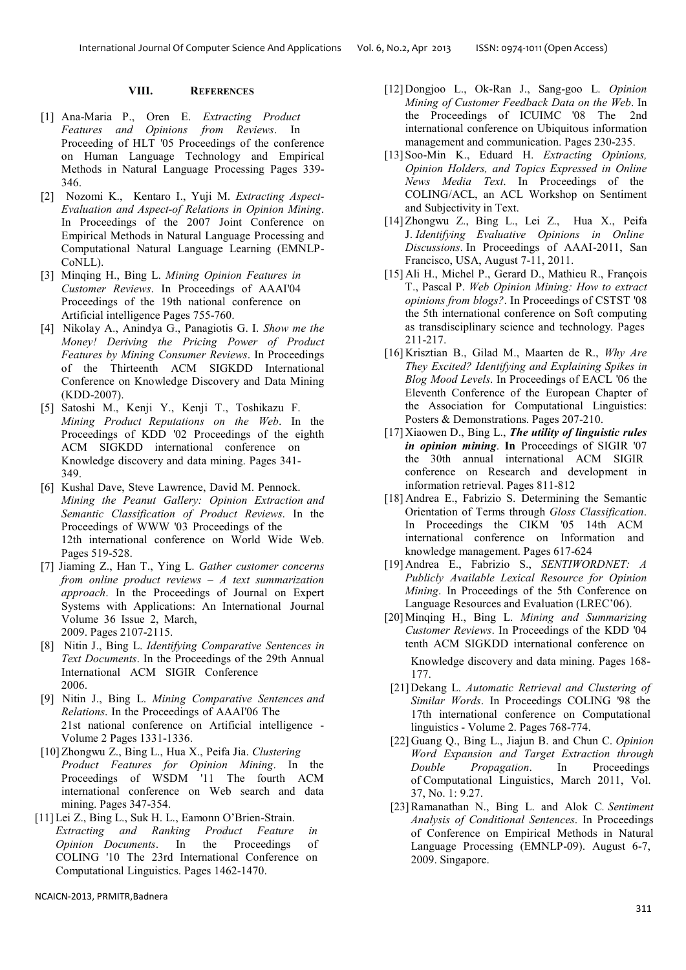## **VIII. REFERENCES**

- [1] Ana-Maria P., Oren E. *Extracting Product Features and Opinions from Reviews*. In Proceeding of HLT '05 Proceedings of the conference on Human Language Technology and Empirical Methods in Natural Language Processing Pages 339- 346.
- [2] Nozomi K., Kentaro I., Yuji M. *Extracting Aspect-Evaluation and Aspect-of Relations in Opinion Mining*. In Proceedings of the 2007 Joint Conference on Empirical Methods in Natural Language Processing and Computational Natural Language Learning (EMNLP-CoNLL).
- [3] Minqing H., Bing L. *Mining Opinion Features in Customer Reviews*. In Proceedings of AAAI'04 Proceedings of the 19th national conference on Artificial intelligence Pages 755-760.
- [4] Nikolay A., Anindya G., Panagiotis G. I. *Show me the Money! Deriving the Pricing Power of Product Features by Mining Consumer Reviews*. In Proceedings of the Thirteenth ACM SIGKDD International Conference on Knowledge Discovery and Data Mining (KDD-2007).
- [5] Satoshi M., Kenji Y., Kenji T., Toshikazu F. *Mining Product Reputations on the Web*. In the Proceedings of KDD '02 Proceedings of the eighth ACM SIGKDD international conference on Knowledge discovery and data mining. Pages 341- 349.
- [6] Kushal Dave, Steve Lawrence, David M. Pennock. *Mining the Peanut Gallery: Opinion Extraction and Semantic Classification of Product Reviews*. In the Proceedings of WWW '03 Proceedings of the 12th international conference on World Wide Web. Pages 519-528.
- [7] Jiaming Z., Han T., Ying L. *Gather customer concerns from online product reviews – A text summarization approach*. In the Proceedings of Journal on Expert Systems with Applications: An International Journal Volume 36 Issue 2, March, 2009. Pages 2107-2115.
- [8] Nitin J., Bing L. *Identifying Comparative Sentences in Text Documents*. In the Proceedings of the 29th Annual International ACM SIGIR Conference 2006.
- [9] Nitin J., Bing L. *Mining Comparative Sentences and Relations*. In the Proceedings of AAAI'06 The 21st national conference on Artificial intelligence - Volume 2 Pages 1331-1336.
- [10] Zhongwu Z., Bing L., Hua X., Peifa Jia. *Clustering Product Features for Opinion Mining*. In the Proceedings of WSDM '11 The fourth ACM international conference on Web search and data mining. Pages 347-354.
- [11] Lei Z., Bing L., Suk H. L., Eamonn O'Brien-Strain. *Extracting and Ranking Product Feature in Opinion Documents*. In the Proceedings of COLING '10 The 23rd International Conference on Computational Linguistics. Pages 1462-1470.
- [12] Dongjoo L., Ok-Ran J., Sang-goo L. *Opinion Mining of Customer Feedback Data on the Web*. In the Proceedings of ICUIMC '08 The 2nd international conference on Ubiquitous information management and communication. Pages 230-235.
- [13] Soo-Min K., Eduard H. *Extracting Opinions, Opinion Holders, and Topics Expressed in Online News Media Text*. In Proceedings of the COLING/ACL, an ACL Workshop on Sentiment and Subjectivity in Text.
- [14] Zhongwu Z., Bing L., Lei Z., Hua X., Peifa J. *Identifying Evaluative Opinions in Online Discussions*. In Proceedings of AAAI-2011, San Francisco, USA, August 7-11, 2011.
- [15] Ali H., Michel P., Gerard D., Mathieu R., François T., Pascal P. *Web Opinion Mining: How to extract opinions from blogs?*. In Proceedings of CSTST '08 the 5th international conference on Soft computing as transdisciplinary science and technology. Pages 211-217.
- [16] Krisztian B., Gilad M., Maarten de R., *Why Are They Excited? Identifying and Explaining Spikes in Blog Mood Levels*. In Proceedings of EACL '06 the Eleventh Conference of the European Chapter of the Association for Computational Linguistics: Posters & Demonstrations. Pages 207-210.
- [17] Xiaowen D., Bing L., *The utility of linguistic rules in opinion mining*. In Proceedings of SIGIR '07 the 30th annual international ACM SIGIR conference on Research and development in information retrieval. Pages 811-812
- [18] Andrea E., Fabrizio S. Determining the Semantic Orientation of Terms through *Gloss Classification*. In Proceedings the CIKM '05 14th ACM international conference on Information and knowledge management. Pages 617-624
- [19] Andrea E., Fabrizio S., *SENTIWORDNET: A Publicly Available Lexical Resource for Opinion Mining*. In Proceedings of the 5th Conference on Language Resources and Evaluation (LREC'06).
- [20] Minqing H., Bing L. *Mining and Summarizing Customer Reviews*. In Proceedings of the KDD '04 tenth ACM SIGKDD international conference on

Knowledge discovery and data mining. Pages 168- 177.

- [21] Dekang L. *Automatic Retrieval and Clustering of Similar Words*. In Proceedings COLING '98 the 17th international conference on Computational linguistics - Volume 2. Pages 768-774.
- [22] Guang Q., Bing L., Jiajun B. and Chun C. *Opinion Word Expansion and Target Extraction through Double Propagation*. In Proceedings of Computational Linguistics, March 2011, Vol. 37, No. 1: 9.27.
- [23] Ramanathan N., Bing L. and Alok C*. Sentiment Analysis of Conditional Sentences*. In Proceedings of Conference on Empirical Methods in Natural Language Processing (EMNLP-09). August 6-7, 2009. Singapore.